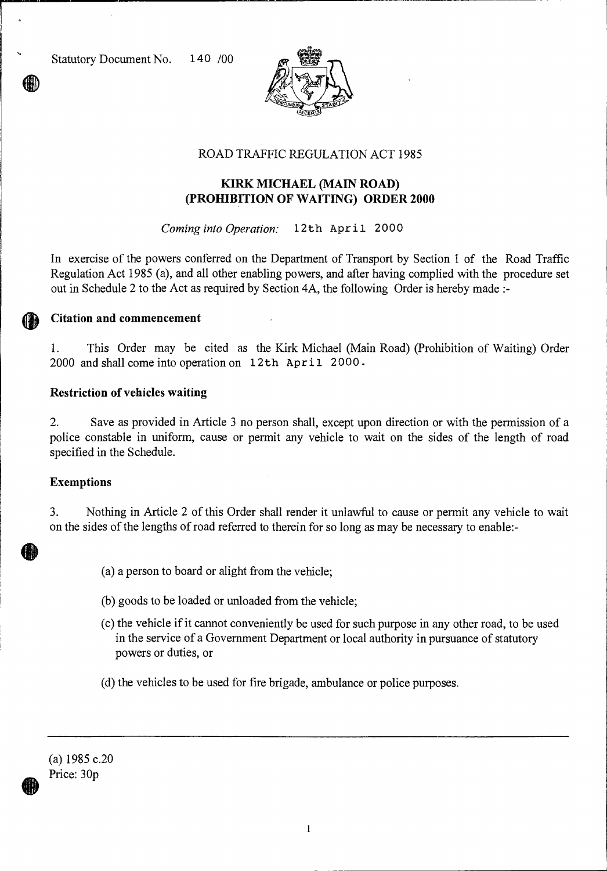Statutory Document No. 140 /00



## ROAD TRAFFIC REGULATION ACT 1985

## **KIRK MICHAEL (MAIN ROAD) (PROHIBITION OF WAITING) ORDER 2000**

*Coming into Operation:* 12th April 2000

In exercise of the powers conferred on the Department of Transport by Section 1 of the Road Traffic Regulation Act 1985 (a), and all other enabling powers, and after having complied with the procedure set out in Schedule 2 to the Act as required by Section 4A, the following Order is hereby made :-

### **Citation and commencement**

1. This Order may be cited as the Kirk Michael (Main Road) (Prohibition of Waiting) Order 2000 and shall come into operation on 12th April 2000.

### **Restriction of vehicles waiting**

2. Save as provided in Article 3 no person shall, except upon direction or with the permission of a police constable in uniform, cause or permit any vehicle to wait on the sides of the length of road specified in the Schedule.

#### **Exemptions**

3. Nothing in Article 2 of this Order shall render it unlawful to cause or permit any vehicle to wait on the sides of the lengths of road referred to therein for so long as may be necessary to enable:-

- (a) a person to board or alight from the vehicle;
- (b) goods to be loaded or unloaded from the vehicle;
- (c) the vehicle if it cannot conveniently be used for such purpose in any other road, to be used in the service of a Government Department or local authority in pursuance of statutory powers or duties, or
- (d) the vehicles to be used for fire brigade, ambulance or police purposes.

(a) 1985 c.20 Price: 30p